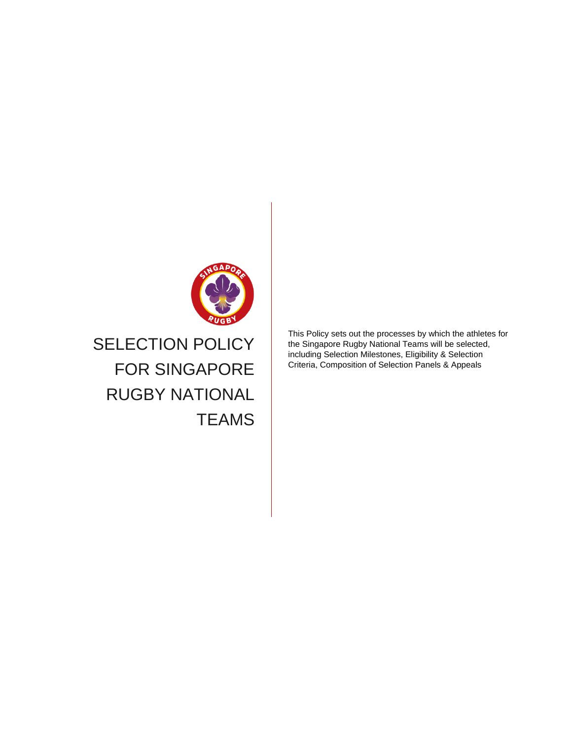

SELECTION POLICY FOR SINGAPORE RUGBY NATIONAL **TEAMS** 

This Policy sets out the processes by which the athletes for the Singapore Rugby National Teams will be selected, including Selection Milestones, Eligibility & Selection Criteria, Composition of Selection Panels & Appeals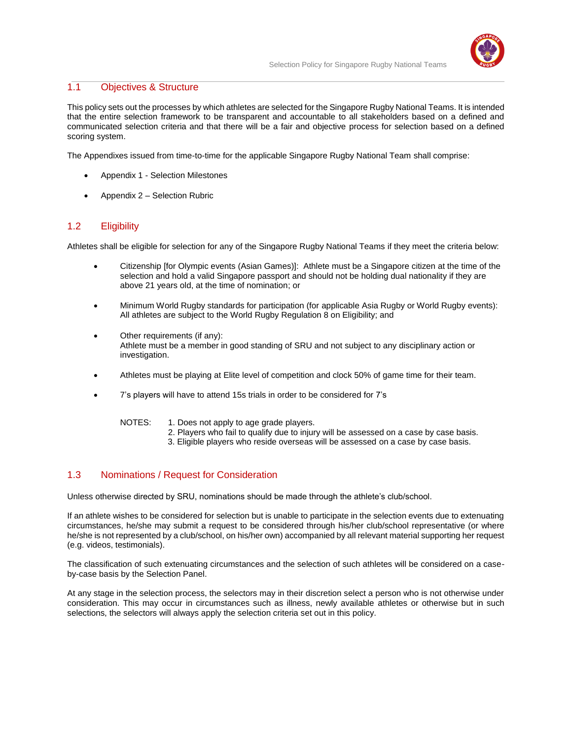

## 1.1 Objectives & Structure

This policy sets out the processes by which athletes are selected for the Singapore Rugby National Teams. It is intended that the entire selection framework to be transparent and accountable to all stakeholders based on a defined and communicated selection criteria and that there will be a fair and objective process for selection based on a defined scoring system.

The Appendixes issued from time-to-time for the applicable Singapore Rugby National Team shall comprise:

- Appendix 1 Selection Milestones
- Appendix 2 Selection Rubric

### 1.2 Eligibility

Athletes shall be eligible for selection for any of the Singapore Rugby National Teams if they meet the criteria below:

- Citizenship [for Olympic events (Asian Games)]: Athlete must be a Singapore citizen at the time of the selection and hold a valid Singapore passport and should not be holding dual nationality if they are above 21 years old, at the time of nomination; or
- Minimum World Rugby standards for participation (for applicable Asia Rugby or World Rugby events): All athletes are subject to the World Rugby Regulation 8 on Eligibility; and
- Other requirements (if any): Athlete must be a member in good standing of SRU and not subject to any disciplinary action or investigation.
- Athletes must be playing at Elite level of competition and clock 50% of game time for their team.
- 7's players will have to attend 15s trials in order to be considered for 7's
	- NOTES: 1. Does not apply to age grade players.
		- 2. Players who fail to qualify due to injury will be assessed on a case by case basis.
		- 3. Eligible players who reside overseas will be assessed on a case by case basis.

#### 1.3 Nominations / Request for Consideration

Unless otherwise directed by SRU, nominations should be made through the athlete's club/school.

If an athlete wishes to be considered for selection but is unable to participate in the selection events due to extenuating circumstances, he/she may submit a request to be considered through his/her club/school representative (or where he/she is not represented by a club/school, on his/her own) accompanied by all relevant material supporting her request (e.g. videos, testimonials).

The classification of such extenuating circumstances and the selection of such athletes will be considered on a caseby-case basis by the Selection Panel.

At any stage in the selection process, the selectors may in their discretion select a person who is not otherwise under consideration. This may occur in circumstances such as illness, newly available athletes or otherwise but in such selections, the selectors will always apply the selection criteria set out in this policy.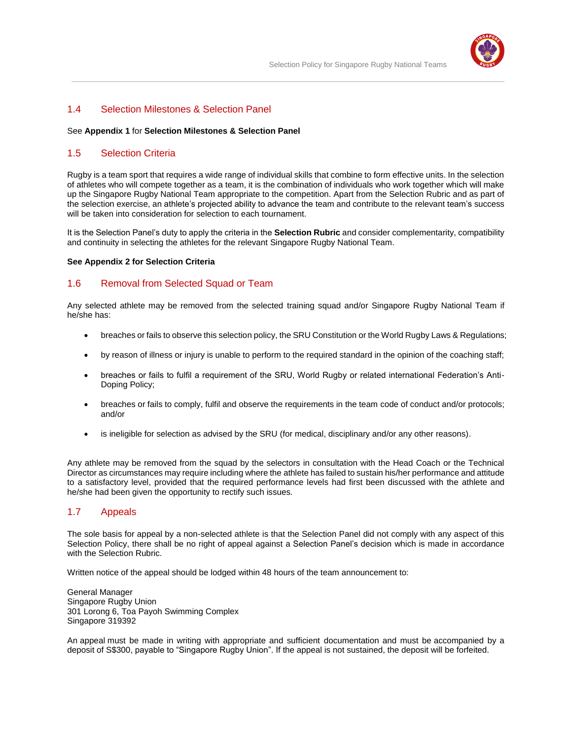

#### 1.4 Selection Milestones & Selection Panel

#### See **Appendix 1** for **Selection Milestones & Selection Panel**

#### 1.5 Selection Criteria

Rugby is a team sport that requires a wide range of individual skills that combine to form effective units. In the selection of athletes who will compete together as a team, it is the combination of individuals who work together which will make up the Singapore Rugby National Team appropriate to the competition. Apart from the Selection Rubric and as part of the selection exercise, an athlete's projected ability to advance the team and contribute to the relevant team's success will be taken into consideration for selection to each tournament.

It is the Selection Panel's duty to apply the criteria in the **Selection Rubric** and consider complementarity, compatibility and continuity in selecting the athletes for the relevant Singapore Rugby National Team.

#### **See Appendix 2 for Selection Criteria**

#### 1.6 Removal from Selected Squad or Team

Any selected athlete may be removed from the selected training squad and/or Singapore Rugby National Team if he/she has:

- breaches or fails to observe this selection policy, the SRU Constitution or the World Rugby Laws & Regulations;
- by reason of illness or injury is unable to perform to the required standard in the opinion of the coaching staff;
- breaches or fails to fulfil a requirement of the SRU, World Rugby or related international Federation's Anti-Doping Policy;
- breaches or fails to comply, fulfil and observe the requirements in the team code of conduct and/or protocols; and/or
- is ineligible for selection as advised by the SRU (for medical, disciplinary and/or any other reasons).

Any athlete may be removed from the squad by the selectors in consultation with the Head Coach or the Technical Director as circumstances may require including where the athlete has failed to sustain his/her performance and attitude to a satisfactory level, provided that the required performance levels had first been discussed with the athlete and he/she had been given the opportunity to rectify such issues.

#### 1.7 Appeals

The sole basis for appeal by a non-selected athlete is that the Selection Panel did not comply with any aspect of this Selection Policy, there shall be no right of appeal against a Selection Panel's decision which is made in accordance with the Selection Rubric.

Written notice of the appeal should be lodged within 48 hours of the team announcement to:

General Manager Singapore Rugby Union 301 Lorong 6, Toa Payoh Swimming Complex Singapore 319392

An appeal must be made in writing with appropriate and sufficient documentation and must be accompanied by a deposit of S\$300, payable to "Singapore Rugby Union". If the appeal is not sustained, the deposit will be forfeited.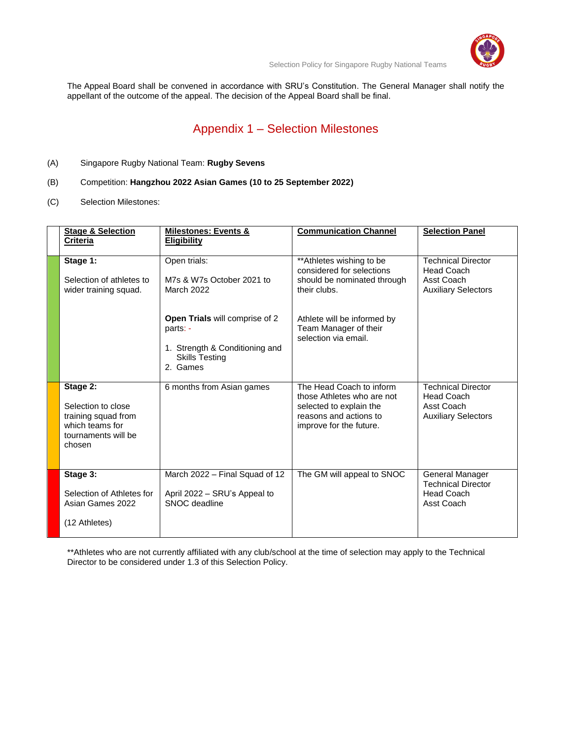

The Appeal Board shall be convened in accordance with SRU's Constitution. The General Manager shall notify the appellant of the outcome of the appeal. The decision of the Appeal Board shall be final.

# Appendix 1 – Selection Milestones

(A) Singapore Rugby National Team: **Rugby Sevens** 

#### (B) Competition: **Hangzhou 2022 Asian Games (10 to 25 September 2022)**

(C) Selection Milestones:

| <b>Stage &amp; Selection</b><br><b>Criteria</b>                                                           | <b>Milestones: Events &amp;</b><br><b>Eligibility</b>                                                             | <b>Communication Channel</b>                                                                                                           | <b>Selection Panel</b>                                                              |
|-----------------------------------------------------------------------------------------------------------|-------------------------------------------------------------------------------------------------------------------|----------------------------------------------------------------------------------------------------------------------------------------|-------------------------------------------------------------------------------------|
| Stage 1:<br>Selection of athletes to<br>wider training squad.                                             | Open trials:<br>M7s & W7s October 2021 to<br><b>March 2022</b>                                                    | ** Athletes wishing to be<br>considered for selections<br>should be nominated through<br>their clubs.                                  | <b>Technical Director</b><br>Head Coach<br>Asst Coach<br><b>Auxiliary Selectors</b> |
|                                                                                                           | Open Trials will comprise of 2<br>parts: -<br>1. Strength & Conditioning and<br><b>Skills Testing</b><br>2. Games | Athlete will be informed by<br>Team Manager of their<br>selection via email.                                                           |                                                                                     |
| Stage 2:<br>Selection to close<br>training squad from<br>which teams for<br>tournaments will be<br>chosen | 6 months from Asian games                                                                                         | The Head Coach to inform<br>those Athletes who are not<br>selected to explain the<br>reasons and actions to<br>improve for the future. | <b>Technical Director</b><br>Head Coach<br>Asst Coach<br><b>Auxiliary Selectors</b> |
| Stage 3:<br>Selection of Athletes for<br>Asian Games 2022<br>(12 Athletes)                                | March 2022 - Final Squad of 12<br>April 2022 - SRU's Appeal to<br>SNOC deadline                                   | The GM will appeal to SNOC                                                                                                             | General Manager<br><b>Technical Director</b><br>Head Coach<br>Asst Coach            |

\*\*Athletes who are not currently affiliated with any club/school at the time of selection may apply to the Technical Director to be considered under 1.3 of this Selection Policy.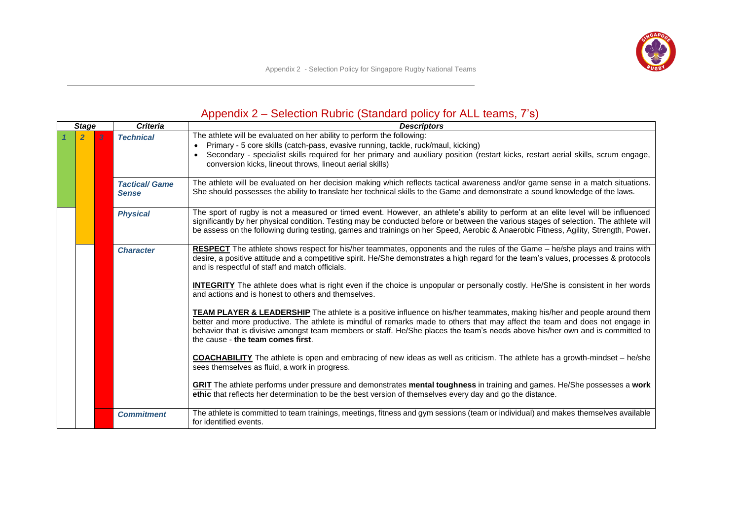

# Appendix 2 – Selection Rubric (Standard policy for ALL teams, 7's)

| <b>Stage</b> |  |                       | <b>Criteria</b>                       | <b>Descriptors</b>                                                                                                                                                                                                                                                                                                                                                                                                                                                |
|--------------|--|-----------------------|---------------------------------------|-------------------------------------------------------------------------------------------------------------------------------------------------------------------------------------------------------------------------------------------------------------------------------------------------------------------------------------------------------------------------------------------------------------------------------------------------------------------|
|              |  | <b>Technical</b><br>3 |                                       | The athlete will be evaluated on her ability to perform the following:<br>Primary - 5 core skills (catch-pass, evasive running, tackle, ruck/maul, kicking)<br>$\bullet$<br>Secondary - specialist skills required for her primary and auxiliary position (restart kicks, restart aerial skills, scrum engage,<br>conversion kicks, lineout throws, lineout aerial skills)                                                                                        |
|              |  |                       | <b>Tactical/ Game</b><br><b>Sense</b> | The athlete will be evaluated on her decision making which reflects tactical awareness and/or game sense in a match situations.<br>She should possesses the ability to translate her technical skills to the Game and demonstrate a sound knowledge of the laws.                                                                                                                                                                                                  |
|              |  |                       | <b>Physical</b>                       | The sport of rugby is not a measured or timed event. However, an athlete's ability to perform at an elite level will be influenced<br>significantly by her physical condition. Testing may be conducted before or between the various stages of selection. The athlete will<br>be assess on the following during testing, games and trainings on her Speed, Aerobic & Anaerobic Fitness, Agility, Strength, Power.                                                |
|              |  |                       | <b>Character</b>                      | RESPECT The athlete shows respect for his/her teammates, opponents and the rules of the Game – he/she plays and trains with<br>desire, a positive attitude and a competitive spirit. He/She demonstrates a high regard for the team's values, processes & protocols<br>and is respectful of staff and match officials.<br><b>INTEGRITY</b> The athlete does what is right even if the choice is unpopular or personally costly. He/She is consistent in her words |
|              |  |                       |                                       | and actions and is honest to others and themselves.                                                                                                                                                                                                                                                                                                                                                                                                               |
|              |  |                       |                                       | <b>TEAM PLAYER &amp; LEADERSHIP</b> The athlete is a positive influence on his/her teammates, making his/her and people around them<br>better and more productive. The athlete is mindful of remarks made to others that may affect the team and does not engage in<br>behavior that is divisive amongst team members or staff. He/She places the team's needs above his/her own and is committed to<br>the cause - the team comes first.                         |
|              |  |                       |                                       | <b>COACHABILITY</b> The athlete is open and embracing of new ideas as well as criticism. The athlete has a growth-mindset – he/she<br>sees themselves as fluid, a work in progress.                                                                                                                                                                                                                                                                               |
|              |  |                       |                                       | GRIT The athlete performs under pressure and demonstrates mental toughness in training and games. He/She possesses a work<br>ethic that reflects her determination to be the best version of themselves every day and go the distance.                                                                                                                                                                                                                            |
|              |  |                       | <b>Commitment</b>                     | The athlete is committed to team trainings, meetings, fitness and gym sessions (team or individual) and makes themselves available<br>for identified events.                                                                                                                                                                                                                                                                                                      |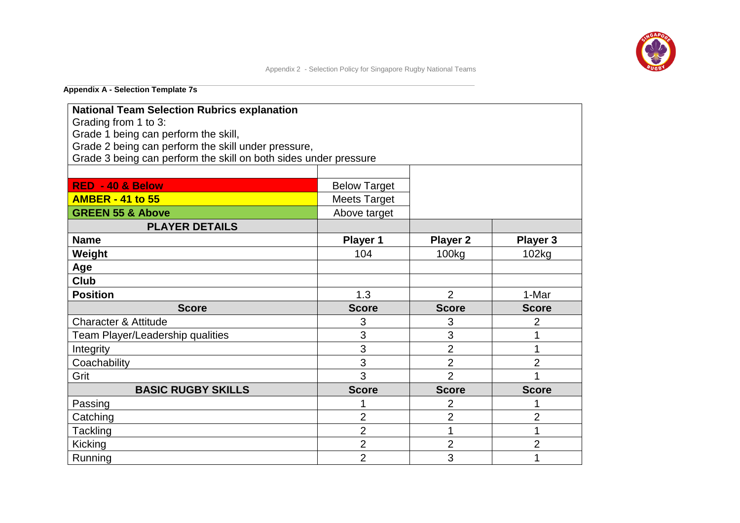

**Appendix A - Selection Template 7s** 

| <b>National Team Selection Rubrics explanation</b>               |                     |                 |                |  |  |
|------------------------------------------------------------------|---------------------|-----------------|----------------|--|--|
| Grading from 1 to 3:                                             |                     |                 |                |  |  |
| Grade 1 being can perform the skill,                             |                     |                 |                |  |  |
| Grade 2 being can perform the skill under pressure,              |                     |                 |                |  |  |
| Grade 3 being can perform the skill on both sides under pressure |                     |                 |                |  |  |
|                                                                  |                     |                 |                |  |  |
| <b>RED - 40 &amp; Below</b>                                      | <b>Below Target</b> |                 |                |  |  |
| <b>AMBER - 41 to 55</b>                                          | <b>Meets Target</b> |                 |                |  |  |
| <b>GREEN 55 &amp; Above</b>                                      | Above target        |                 |                |  |  |
| <b>PLAYER DETAILS</b>                                            |                     |                 |                |  |  |
| <b>Name</b>                                                      | Player 1            | <b>Player 2</b> | Player 3       |  |  |
| Weight                                                           | 104                 | 100kg           | 102kg          |  |  |
| Age                                                              |                     |                 |                |  |  |
| <b>Club</b>                                                      |                     |                 |                |  |  |
| <b>Position</b>                                                  | 1.3                 | $\overline{2}$  | 1-Mar          |  |  |
| <b>Score</b>                                                     | <b>Score</b>        | <b>Score</b>    | <b>Score</b>   |  |  |
| <b>Character &amp; Attitude</b>                                  | 3                   | 3               | 2              |  |  |
| Team Player/Leadership qualities                                 | 3                   | 3               |                |  |  |
| Integrity                                                        | 3                   | $\overline{2}$  | 1              |  |  |
| Coachability                                                     | 3                   | $\overline{2}$  | 2              |  |  |
| Grit                                                             | 3                   | $\overline{2}$  |                |  |  |
| <b>BASIC RUGBY SKILLS</b>                                        | <b>Score</b>        | <b>Score</b>    | <b>Score</b>   |  |  |
| Passing                                                          |                     | 2               |                |  |  |
| Catching                                                         | $\overline{2}$      | $\overline{2}$  | 2              |  |  |
| Tackling                                                         | $\overline{2}$      |                 | 1              |  |  |
| Kicking                                                          | $\overline{2}$      | $\overline{2}$  | $\overline{2}$ |  |  |
| Running                                                          | $\overline{2}$      | 3               | 1              |  |  |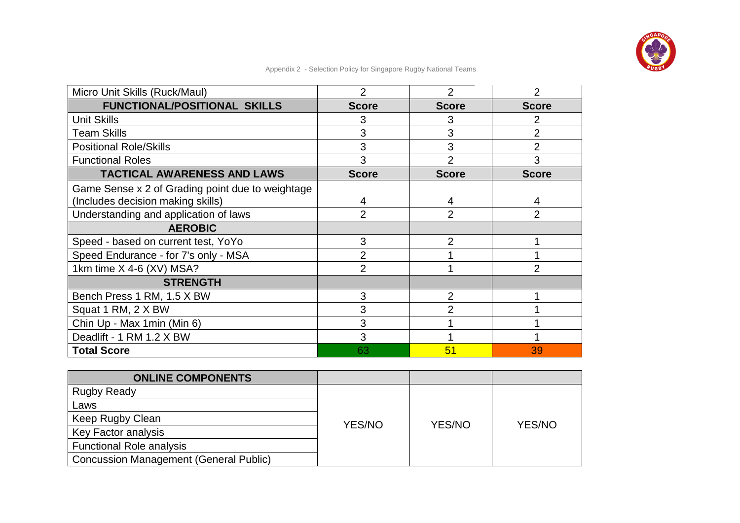

Appendix 2 - Selection Policy for Singapore Rugby National Teams

| Micro Unit Skills (Ruck/Maul)                                                         | $\overline{2}$ | $\overline{2}$ | $\overline{2}$ |
|---------------------------------------------------------------------------------------|----------------|----------------|----------------|
| <b>FUNCTIONAL/POSITIONAL SKILLS</b>                                                   | <b>Score</b>   | <b>Score</b>   | <b>Score</b>   |
| <b>Unit Skills</b>                                                                    | 3              | 3              |                |
| Team Skills                                                                           | 3              | 3              | $\overline{2}$ |
| <b>Positional Role/Skills</b>                                                         | 3              | 3              | $\overline{2}$ |
| <b>Functional Roles</b>                                                               | 3              | 2              | 3              |
| <b>TACTICAL AWARENESS AND LAWS</b>                                                    | <b>Score</b>   | <b>Score</b>   | <b>Score</b>   |
| Game Sense x 2 of Grading point due to weightage<br>(Includes decision making skills) | 4              | 4              | 4              |
| Understanding and application of laws                                                 | $\overline{2}$ | $\overline{2}$ | $\overline{2}$ |
| <b>AEROBIC</b>                                                                        |                |                |                |
| Speed - based on current test, YoYo                                                   | 3              | $\mathfrak{p}$ |                |
| Speed Endurance - for 7's only - MSA                                                  | $\overline{2}$ |                |                |
| 1km time X 4-6 (XV) MSA?                                                              | $\overline{2}$ |                | $\overline{2}$ |
| <b>STRENGTH</b>                                                                       |                |                |                |
| Bench Press 1 RM, 1.5 X BW                                                            | 3              |                |                |
| Squat 1 RM, 2 X BW                                                                    | 3              |                |                |
| Chin Up - Max 1min (Min 6)                                                            | 3              |                |                |
| Deadlift - 1 RM 1.2 X BW                                                              | 3              |                |                |
| <b>Total Score</b>                                                                    | 63             | 51             | 39             |

| <b>ONLINE COMPONENTS</b>                      |        |        |        |
|-----------------------------------------------|--------|--------|--------|
| Rugby Ready                                   |        |        |        |
| Laws                                          |        |        |        |
| Keep Rugby Clean                              | YES/NO | YES/NO | YES/NO |
| Key Factor analysis                           |        |        |        |
| <b>Functional Role analysis</b>               |        |        |        |
| <b>Concussion Management (General Public)</b> |        |        |        |